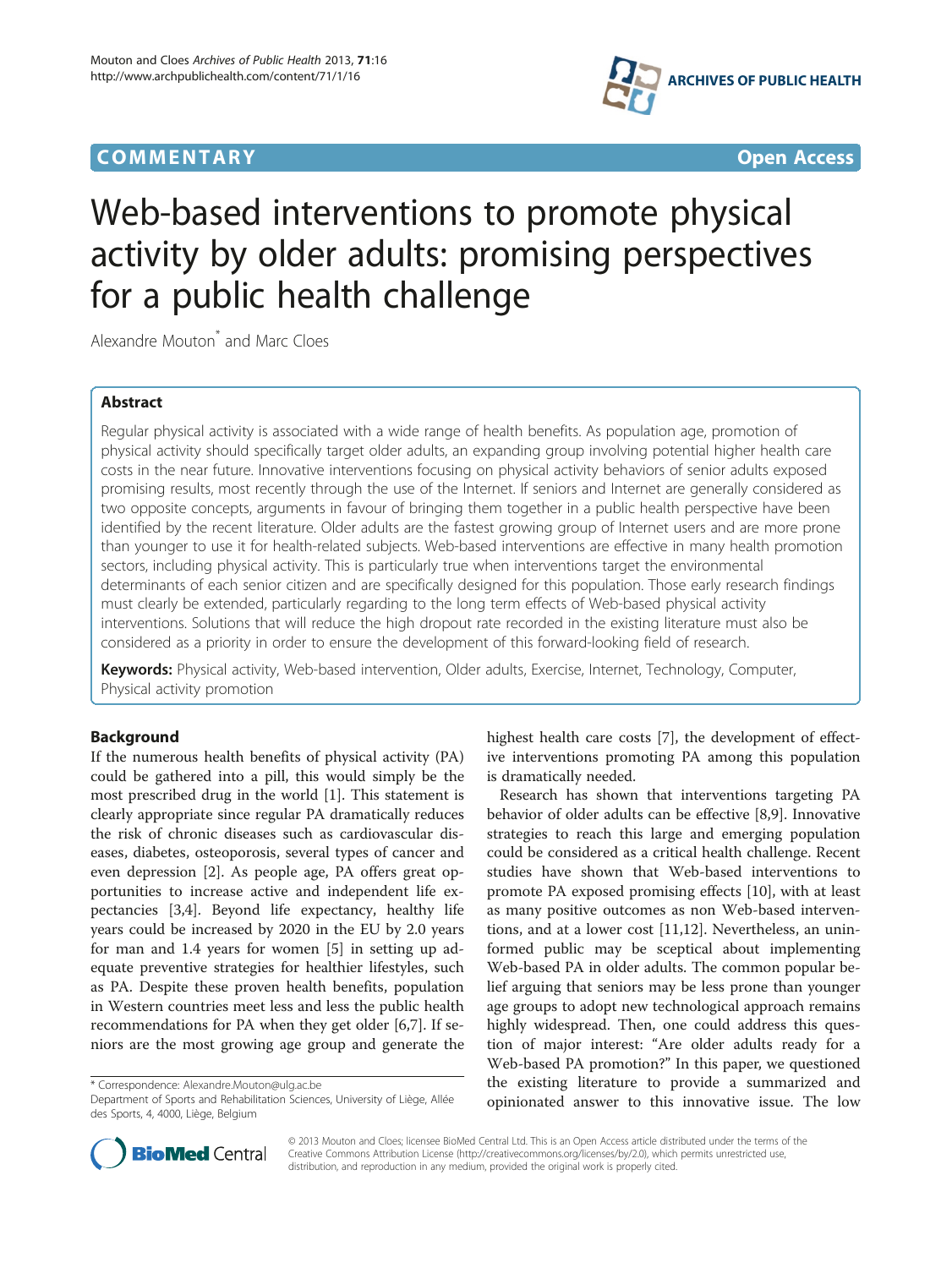## **COMMENTARY COMMENTARY Open Access**



# Web-based interventions to promote physical activity by older adults: promising perspectives for a public health challenge

Alexandre Mouton<sup>\*</sup> and Marc Cloes

## Abstract

Regular physical activity is associated with a wide range of health benefits. As population age, promotion of physical activity should specifically target older adults, an expanding group involving potential higher health care costs in the near future. Innovative interventions focusing on physical activity behaviors of senior adults exposed promising results, most recently through the use of the Internet. If seniors and Internet are generally considered as two opposite concepts, arguments in favour of bringing them together in a public health perspective have been identified by the recent literature. Older adults are the fastest growing group of Internet users and are more prone than younger to use it for health-related subjects. Web-based interventions are effective in many health promotion sectors, including physical activity. This is particularly true when interventions target the environmental determinants of each senior citizen and are specifically designed for this population. Those early research findings must clearly be extended, particularly regarding to the long term effects of Web-based physical activity interventions. Solutions that will reduce the high dropout rate recorded in the existing literature must also be considered as a priority in order to ensure the development of this forward-looking field of research.

Keywords: Physical activity, Web-based intervention, Older adults, Exercise, Internet, Technology, Computer, Physical activity promotion

## Background

If the numerous health benefits of physical activity (PA) could be gathered into a pill, this would simply be the most prescribed drug in the world [[1\]](#page-3-0). This statement is clearly appropriate since regular PA dramatically reduces the risk of chronic diseases such as cardiovascular diseases, diabetes, osteoporosis, several types of cancer and even depression [\[2](#page-3-0)]. As people age, PA offers great opportunities to increase active and independent life expectancies [[3,4\]](#page-3-0). Beyond life expectancy, healthy life years could be increased by 2020 in the EU by 2.0 years for man and 1.4 years for women [\[5](#page-3-0)] in setting up adequate preventive strategies for healthier lifestyles, such as PA. Despite these proven health benefits, population in Western countries meet less and less the public health recommendations for PA when they get older [[6,7\]](#page-3-0). If seniors are the most growing age group and generate the highest health care costs [\[7](#page-3-0)], the development of effective interventions promoting PA among this population is dramatically needed.

Research has shown that interventions targeting PA behavior of older adults can be effective [\[8](#page-3-0),[9](#page-3-0)]. Innovative strategies to reach this large and emerging population could be considered as a critical health challenge. Recent studies have shown that Web-based interventions to promote PA exposed promising effects [\[10](#page-3-0)], with at least as many positive outcomes as non Web-based interventions, and at a lower cost [[11,12](#page-3-0)]. Nevertheless, an uninformed public may be sceptical about implementing Web-based PA in older adults. The common popular belief arguing that seniors may be less prone than younger age groups to adopt new technological approach remains highly widespread. Then, one could address this question of major interest: "Are older adults ready for a Web-based PA promotion?" In this paper, we questioned the existing literature to provide a summarized and opinionated answer to this innovative issue. The low



© 2013 Mouton and Cloes; licensee BioMed Central Ltd. This is an Open Access article distributed under the terms of the Creative Commons Attribution License (<http://creativecommons.org/licenses/by/2.0>), which permits unrestricted use, distribution, and reproduction in any medium, provided the original work is properly cited.

<sup>\*</sup> Correspondence: [Alexandre.Mouton@ulg.ac.be](mailto:Alexandre.Mouton@ulg.ac.be)

Department of Sports and Rehabilitation Sciences, University of Liège, Allée des Sports, 4, 4000, Liège, Belgium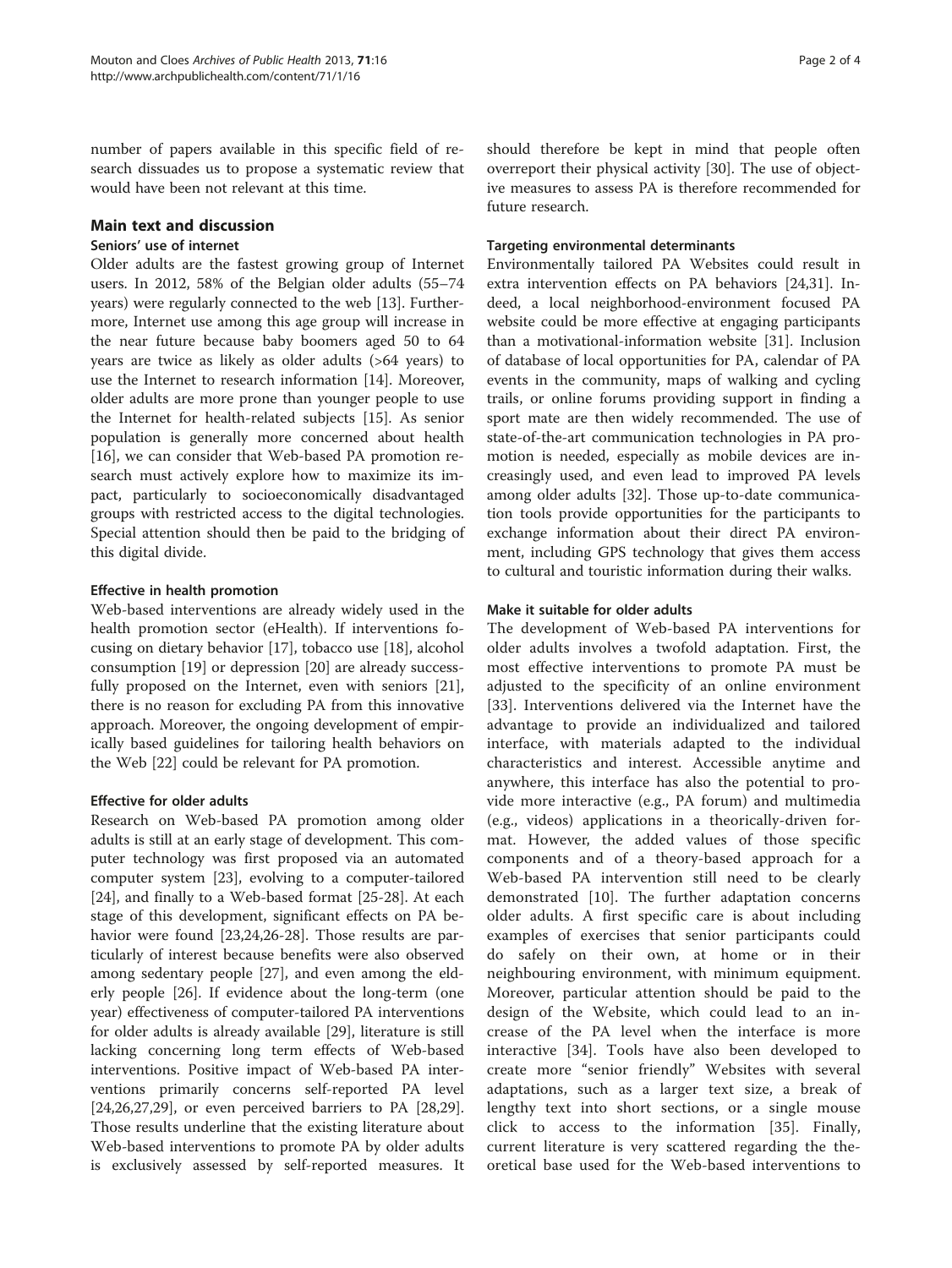number of papers available in this specific field of research dissuades us to propose a systematic review that would have been not relevant at this time.

## Main text and discussion

#### Seniors' use of internet

Older adults are the fastest growing group of Internet users. In 2012, 58% of the Belgian older adults (55–74 years) were regularly connected to the web [[13](#page-3-0)]. Furthermore, Internet use among this age group will increase in the near future because baby boomers aged 50 to 64 years are twice as likely as older adults (>64 years) to use the Internet to research information [[14](#page-3-0)]. Moreover, older adults are more prone than younger people to use the Internet for health-related subjects [\[15\]](#page-3-0). As senior population is generally more concerned about health [[16\]](#page-3-0), we can consider that Web-based PA promotion research must actively explore how to maximize its impact, particularly to socioeconomically disadvantaged groups with restricted access to the digital technologies. Special attention should then be paid to the bridging of this digital divide.

## Effective in health promotion

Web-based interventions are already widely used in the health promotion sector (eHealth). If interventions focusing on dietary behavior [[17\]](#page-3-0), tobacco use [\[18\]](#page-3-0), alcohol consumption [\[19](#page-3-0)] or depression [[20\]](#page-3-0) are already successfully proposed on the Internet, even with seniors [\[21](#page-3-0)], there is no reason for excluding PA from this innovative approach. Moreover, the ongoing development of empirically based guidelines for tailoring health behaviors on the Web [\[22\]](#page-3-0) could be relevant for PA promotion.

## Effective for older adults

Research on Web-based PA promotion among older adults is still at an early stage of development. This computer technology was first proposed via an automated computer system [\[23](#page-3-0)], evolving to a computer-tailored [[24\]](#page-3-0), and finally to a Web-based format [[25-28](#page-3-0)]. At each stage of this development, significant effects on PA behavior were found [[23,24,26-28\]](#page-3-0). Those results are particularly of interest because benefits were also observed among sedentary people [\[27](#page-3-0)], and even among the elderly people [\[26\]](#page-3-0). If evidence about the long-term (one year) effectiveness of computer-tailored PA interventions for older adults is already available [\[29\]](#page-3-0), literature is still lacking concerning long term effects of Web-based interventions. Positive impact of Web-based PA interventions primarily concerns self-reported PA level [[24,26,27,29\]](#page-3-0), or even perceived barriers to PA [\[28,29](#page-3-0)]. Those results underline that the existing literature about Web-based interventions to promote PA by older adults is exclusively assessed by self-reported measures. It should therefore be kept in mind that people often overreport their physical activity [[30\]](#page-3-0). The use of objective measures to assess PA is therefore recommended for future research.

## Targeting environmental determinants

Environmentally tailored PA Websites could result in extra intervention effects on PA behaviors [\[24,31](#page-3-0)]. Indeed, a local neighborhood-environment focused PA website could be more effective at engaging participants than a motivational-information website [\[31](#page-3-0)]. Inclusion of database of local opportunities for PA, calendar of PA events in the community, maps of walking and cycling trails, or online forums providing support in finding a sport mate are then widely recommended. The use of state-of-the-art communication technologies in PA promotion is needed, especially as mobile devices are increasingly used, and even lead to improved PA levels among older adults [\[32](#page-3-0)]. Those up-to-date communication tools provide opportunities for the participants to exchange information about their direct PA environment, including GPS technology that gives them access to cultural and touristic information during their walks.

## Make it suitable for older adults

The development of Web-based PA interventions for older adults involves a twofold adaptation. First, the most effective interventions to promote PA must be adjusted to the specificity of an online environment [[33\]](#page-3-0). Interventions delivered via the Internet have the advantage to provide an individualized and tailored interface, with materials adapted to the individual characteristics and interest. Accessible anytime and anywhere, this interface has also the potential to provide more interactive (e.g., PA forum) and multimedia (e.g., videos) applications in a theorically-driven format. However, the added values of those specific components and of a theory-based approach for a Web-based PA intervention still need to be clearly demonstrated [[10](#page-3-0)]. The further adaptation concerns older adults. A first specific care is about including examples of exercises that senior participants could do safely on their own, at home or in their neighbouring environment, with minimum equipment. Moreover, particular attention should be paid to the design of the Website, which could lead to an increase of the PA level when the interface is more interactive [[34\]](#page-3-0). Tools have also been developed to create more "senior friendly" Websites with several adaptations, such as a larger text size, a break of lengthy text into short sections, or a single mouse click to access to the information [[35\]](#page-3-0). Finally, current literature is very scattered regarding the theoretical base used for the Web-based interventions to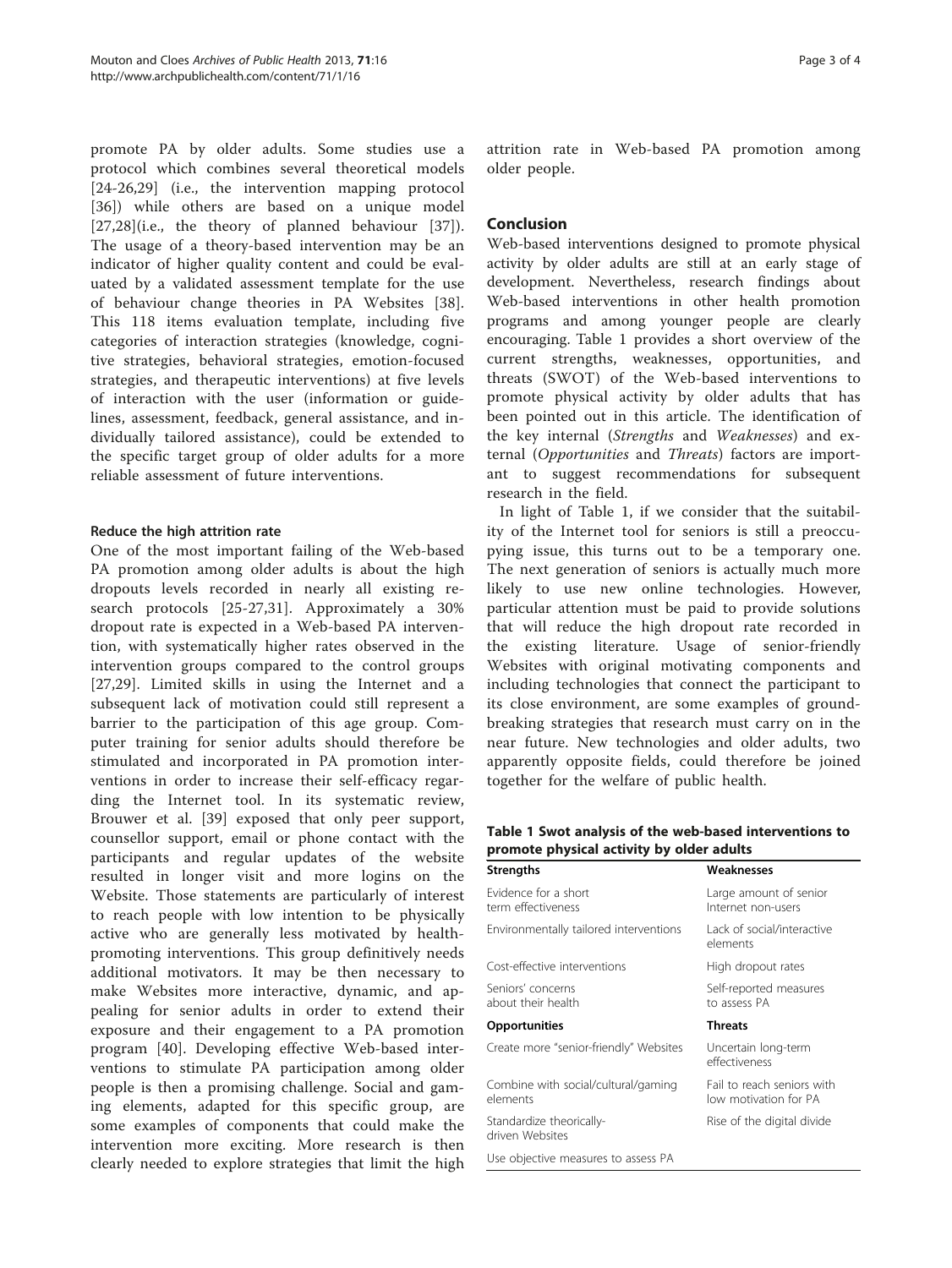promote PA by older adults. Some studies use a protocol which combines several theoretical models [[24-26,29\]](#page-3-0) (i.e., the intervention mapping protocol [[36\]](#page-3-0)) while others are based on a unique model [[27,28](#page-3-0)](i.e., the theory of planned behaviour [[37\]](#page-3-0)). The usage of a theory-based intervention may be an indicator of higher quality content and could be evaluated by a validated assessment template for the use of behaviour change theories in PA Websites [[38](#page-3-0)]. This 118 items evaluation template, including five categories of interaction strategies (knowledge, cognitive strategies, behavioral strategies, emotion-focused strategies, and therapeutic interventions) at five levels of interaction with the user (information or guidelines, assessment, feedback, general assistance, and individually tailored assistance), could be extended to the specific target group of older adults for a more reliable assessment of future interventions.

#### Reduce the high attrition rate

One of the most important failing of the Web-based PA promotion among older adults is about the high dropouts levels recorded in nearly all existing research protocols [[25-27](#page-3-0),[31\]](#page-3-0). Approximately a 30% dropout rate is expected in a Web-based PA intervention, with systematically higher rates observed in the intervention groups compared to the control groups [[27,29](#page-3-0)]. Limited skills in using the Internet and a subsequent lack of motivation could still represent a barrier to the participation of this age group. Computer training for senior adults should therefore be stimulated and incorporated in PA promotion interventions in order to increase their self-efficacy regarding the Internet tool. In its systematic review, Brouwer et al. [\[39](#page-3-0)] exposed that only peer support, counsellor support, email or phone contact with the participants and regular updates of the website resulted in longer visit and more logins on the Website. Those statements are particularly of interest to reach people with low intention to be physically active who are generally less motivated by healthpromoting interventions. This group definitively needs additional motivators. It may be then necessary to make Websites more interactive, dynamic, and appealing for senior adults in order to extend their exposure and their engagement to a PA promotion program [\[40](#page-3-0)]. Developing effective Web-based interventions to stimulate PA participation among older people is then a promising challenge. Social and gaming elements, adapted for this specific group, are some examples of components that could make the intervention more exciting. More research is then clearly needed to explore strategies that limit the high

attrition rate in Web-based PA promotion among older people.

## Conclusion

Web-based interventions designed to promote physical activity by older adults are still at an early stage of development. Nevertheless, research findings about Web-based interventions in other health promotion programs and among younger people are clearly encouraging. Table 1 provides a short overview of the current strengths, weaknesses, opportunities, and threats (SWOT) of the Web-based interventions to promote physical activity by older adults that has been pointed out in this article. The identification of the key internal (Strengths and Weaknesses) and external (Opportunities and Threats) factors are important to suggest recommendations for subsequent research in the field.

In light of Table 1, if we consider that the suitability of the Internet tool for seniors is still a preoccupying issue, this turns out to be a temporary one. The next generation of seniors is actually much more likely to use new online technologies. However, particular attention must be paid to provide solutions that will reduce the high dropout rate recorded in the existing literature. Usage of senior-friendly Websites with original motivating components and including technologies that connect the participant to its close environment, are some examples of groundbreaking strategies that research must carry on in the near future. New technologies and older adults, two apparently opposite fields, could therefore be joined together for the welfare of public health.

#### Table 1 Swot analysis of the web-based interventions to promote physical activity by older adults

| <b>Strengths</b>                                | Weaknesses                                          |
|-------------------------------------------------|-----------------------------------------------------|
| Evidence for a short<br>term effectiveness      | Large amount of senior<br>Internet non-users        |
| Environmentally tailored interventions          | Lack of social/interactive<br>elements              |
| Cost-effective interventions                    | High dropout rates                                  |
| Seniors' concerns<br>about their health         | Self-reported measures<br>to assess PA              |
| <b>Opportunities</b>                            | <b>Threats</b>                                      |
| Create more "senior-friendly" Websites          | Uncertain long-term<br>effectiveness                |
| Combine with social/cultural/gaming<br>elements | Fail to reach seniors with<br>low motivation for PA |
| Standardize theorically-<br>driven Websites     | Rise of the digital divide                          |
| Use objective measures to assess PA             |                                                     |